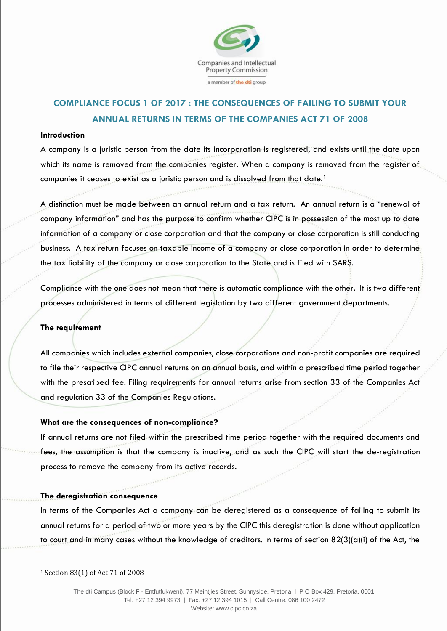

# **COMPLIANCE FOCUS 1 OF 2017 : THE CONSEQUENCES OF FAILING TO SUBMIT YOUR ANNUAL RETURNS IN TERMS OF THE COMPANIES ACT 71 OF 2008**

### **Introduction**

A company is a juristic person from the date its incorporation is registered, and exists until the date upon which its name is removed from the companies register. When a company is removed from the register of companies it ceases to exist as a juristic person and is dissolved from that date.<sup>1</sup>

A distinction must be made between an annual return and a tax return. An annual return is a "renewal of company information" and has the purpose to confirm whether CIPC is in possession of the most up to date information of a company or close corporation and that the company or close corporation is still conducting business. A tax return focuses on taxable income of a company or close corporation in order to determine the tax liability of the company or close corporation to the State and is filed with SARS.

Compliance with the one does not mean that there is automatic compliance with the other. It is two different processes administered in terms of different legislation by two different government departments.

### **The requirement**

All companies which includes external companies, close corporations and non-profit companies are required to file their respective CIPC annual returns on an annual basis, and within a prescribed time period together with the prescribed fee. Filing requirements for annual returns arise from section 33 of the Companies Act and regulation 33 of the Companies Regulations.

### **What are the consequences of non-compliance?**

If annual returns are not filed within the prescribed time period together with the required documents and fees, the assumption is that the company is inactive, and as such the CIPC will start the de-registration process to remove the company from its active records.

### **The deregistration consequence**

In terms of the Companies Act a company can be deregistered as a consequence of failing to submit its annual returns for a period of two or more years by the CIPC this deregistration is done without application to court and in many cases without the knowledge of creditors. In terms of section 82(3)(a)(i) of the Act, the

1

<sup>1</sup> Section 83(1) of Act 71 of 2008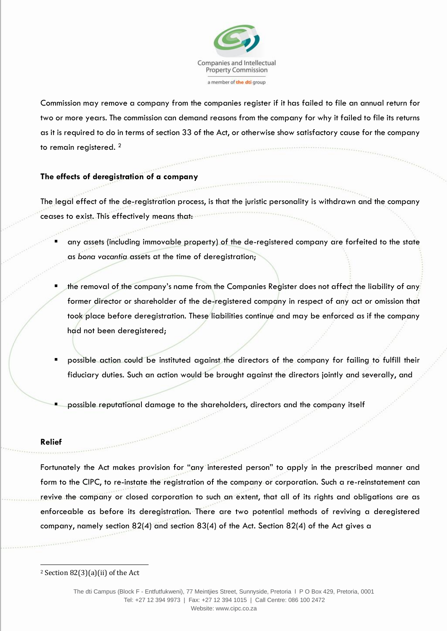

Commission may remove a company from the companies register if it has failed to file an annual return for two or more years. The commission can demand reasons from the company for why it failed to file its returns as it is required to do in terms of section 33 of the Act, or otherwise show satisfactory cause for the company to remain registered. <sup>2</sup>

# **The effects of deregistration of a company**

The legal effect of the de-registration process, is that the juristic personality is withdrawn and the company ceases to exist. This effectively means that:

- any assets (including immovable property) of the de-registered company are forfeited to the state as *bona vacantia* assets at the time of deregistration;
- the removal of the company's name from the Companies Register does not affect the liability of any former director or shareholder of the de-registered company in respect of any act or omission that took place before deregistration. These liabilities continue and may be enforced as if the company had not been deregistered;
- possible action could be instituted against the directors of the company for failing to fulfill their fiduciary duties. Such an action would be brought against the directors jointly and severally, and
- possible reputational damage to the shareholders, directors and the company itself

### **Relief**

1

Fortunately the Act makes provision for "any interested person" to apply in the prescribed manner and form to the CIPC, to re-instate the registration of the company or corporation. Such a re-reinstatement can revive the company or closed corporation to such an extent, that all of its rights and obligations are as enforceable as before its deregistration. There are two potential methods of reviving a deregistered company, namely section 82(4) and section 83(4) of the Act. Section 82(4) of the Act gives a

 $2$  Section 82(3)(a)(ii) of the Act